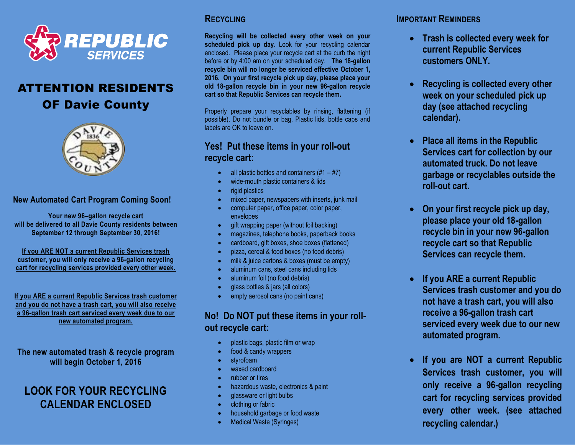

# ATTENTION RESIDENTS

# OF Davie County



#### **New Automated Cart Program Coming Soon!**

**Your new 96–gallon recycle cart will be delivered to all Davie County residents between September 12 through September 30, 2016!**

**If you ARE NOT a current Republic Services trash customer, you will only receive a 96-gallon recycling cart for recycling services provided every other week.**

**If you ARE a current Republic Services trash customer and you do not have a trash cart, you will also receive a 96-gallon trash cart serviced every week due to our new automated program.**

**The new automated trash & recycle program will begin October 1, 2016**

# **LOOK FOR YOUR RECYCLING CALENDAR ENCLOSED**

#### **RECYCLING**

**Recycling will be collected every other week on your scheduled pick up day.** Look for your recycling calendar enclosed. Please place your recycle cart at the curb the night before or by 4:00 am on your scheduled day. **The 18-gallon recycle bin will no longer be serviced effective October 1, 2016. On your first recycle pick up day, please place your old 18-gallon recycle bin in your new 96-gallon recycle cart so that Republic Services can recycle them.**

Properly prepare your recyclables by rinsing, flattening (if possible). Do not bundle or bag. Plastic lids, bottle caps and labels are OK to leave on.

## **Yes! Put these items in your roll-out recycle cart:**

- all plastic bottles and containers  $(\#1 \#7)$
- wide-mouth plastic containers & lids
- rigid plastics
- mixed paper, newspapers with inserts, junk mail
- computer paper, office paper, color paper, envelopes
- gift wrapping paper (without foil backing)
- magazines, telephone books, paperback books
- cardboard, gift boxes, shoe boxes (flattened)
- pizza, cereal & food boxes (no food debris)
- milk & juice cartons & boxes (must be empty)
- aluminum cans, steel cans including lids
- aluminum foil (no food debris)
- glass bottles & jars (all colors)
- **e** empty aerosol cans (no paint cans)

## **No! Do NOT put these items in your rollout recycle cart:**

- plastic bags, plastic film or wrap
- food & candy wrappers
- styrofoam
- waxed cardboard
- rubber or tires
- hazardous waste, electronics & paint
- glassware or light bulbs
- clothing or fabric
- household garbage or food waste
- Medical Waste (Syringes)

## **IMPORTANT REMINDERS**

- **Trash is collected every week for current Republic Services customers ONLY.**
- **Recycling is collected every other week on your scheduled pick up day (see attached recycling calendar).**
- **Place all items in the Republic Services cart for collection by our automated truck. Do not leave garbage or recyclables outside the roll-out cart.**
- **On your first recycle pick up day, please place your old 18-gallon recycle bin in your new 96-gallon recycle cart so that Republic Services can recycle them.**
- **If you ARE a current Republic Services trash customer and you do not have a trash cart, you will also receive a 96-gallon trash cart serviced every week due to our new automated program.**
- **If you are NOT a current Republic Services trash customer, you will only receive a 96-gallon recycling cart for recycling services provided every other week. (see attached recycling calendar.)**